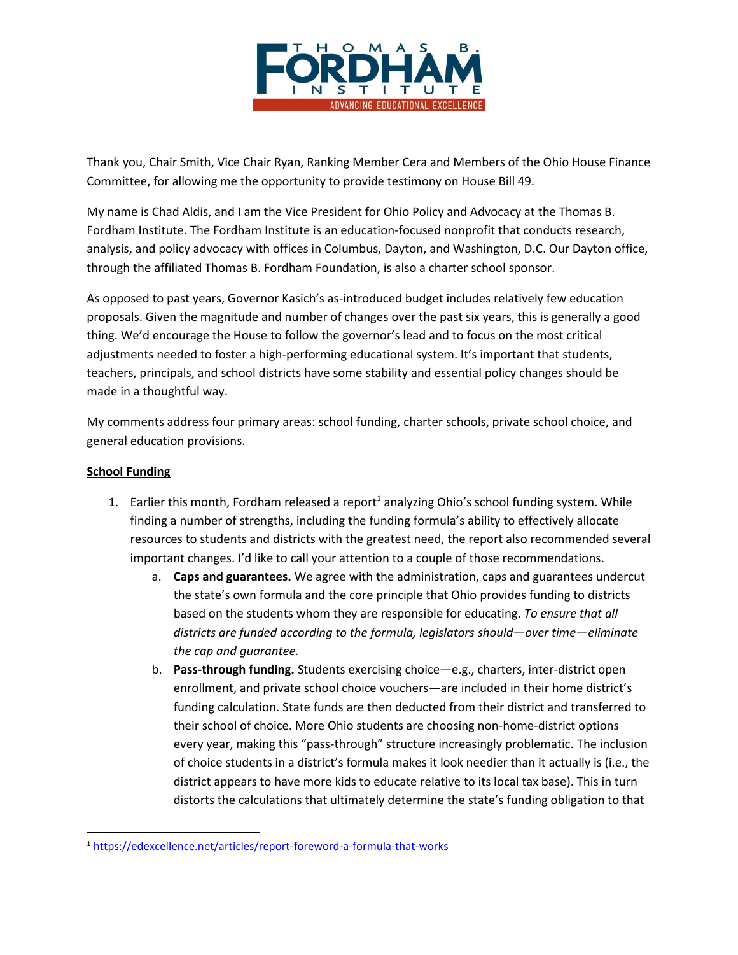

Thank you, Chair Smith, Vice Chair Ryan, Ranking Member Cera and Members of the Ohio House Finance Committee, for allowing me the opportunity to provide testimony on House Bill 49.

My name is Chad Aldis, and I am the Vice President for Ohio Policy and Advocacy at the Thomas B. Fordham Institute. The Fordham Institute is an education-focused nonprofit that conducts research, analysis, and policy advocacy with offices in Columbus, Dayton, and Washington, D.C. Our Dayton office, through the affiliated Thomas B. Fordham Foundation, is also a charter school sponsor.

As opposed to past years, Governor Kasich's as-introduced budget includes relatively few education proposals. Given the magnitude and number of changes over the past six years, this is generally a good thing. We'd encourage the House to follow the governor's lead and to focus on the most critical adjustments needed to foster a high-performing educational system. It's important that students, teachers, principals, and school districts have some stability and essential policy changes should be made in a thoughtful way.

My comments address four primary areas: school funding, charter schools, private school choice, and general education provisions.

## **School Funding**

l

- 1. Earlier this month, Fordham released a report<sup>1</sup> analyzing Ohio's school funding system. While finding a number of strengths, including the funding formula's ability to effectively allocate resources to students and districts with the greatest need, the report also recommended several important changes. I'd like to call your attention to a couple of those recommendations.
	- a. **Caps and guarantees.** We agree with the administration, caps and guarantees undercut the state's own formula and the core principle that Ohio provides funding to districts based on the students whom they are responsible for educating. *To ensure that all districts are funded according to the formula, legislators should—over time—eliminate the cap and guarantee.*
	- b. **Pass-through funding.** Students exercising choice—e.g., charters, inter-district open enrollment, and private school choice vouchers—are included in their home district's funding calculation. State funds are then deducted from their district and transferred to their school of choice. More Ohio students are choosing non-home-district options every year, making this "pass-through" structure increasingly problematic. The inclusion of choice students in a district's formula makes it look needier than it actually is (i.e., the district appears to have more kids to educate relative to its local tax base). This in turn distorts the calculations that ultimately determine the state's funding obligation to that

<sup>1</sup> <https://edexcellence.net/articles/report-foreword-a-formula-that-works>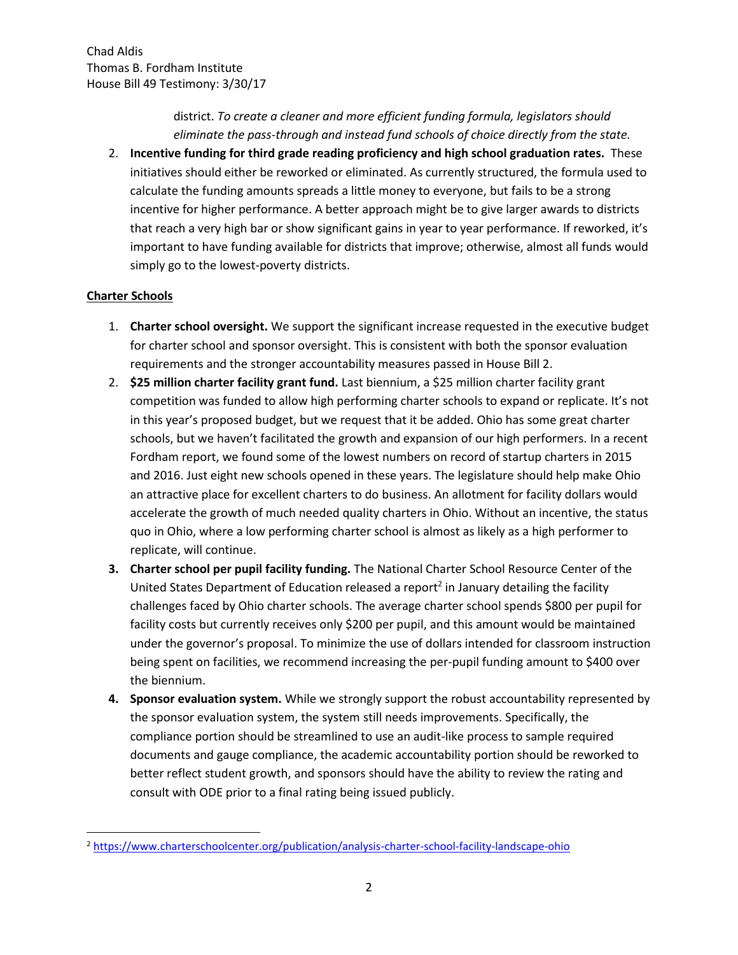district. *To create a cleaner and more efficient funding formula, legislators should eliminate the pass-through and instead fund schools of choice directly from the state.*

2. **Incentive funding for third grade reading proficiency and high school graduation rates.** These initiatives should either be reworked or eliminated. As currently structured, the formula used to calculate the funding amounts spreads a little money to everyone, but fails to be a strong incentive for higher performance. A better approach might be to give larger awards to districts that reach a very high bar or show significant gains in year to year performance. If reworked, it's important to have funding available for districts that improve; otherwise, almost all funds would simply go to the lowest-poverty districts.

## **Charter Schools**

l

- 1. **Charter school oversight.** We support the significant increase requested in the executive budget for charter school and sponsor oversight. This is consistent with both the sponsor evaluation requirements and the stronger accountability measures passed in House Bill 2.
- 2. **\$25 million charter facility grant fund.** Last biennium, a \$25 million charter facility grant competition was funded to allow high performing charter schools to expand or replicate. It's not in this year's proposed budget, but we request that it be added. Ohio has some great charter schools, but we haven't facilitated the growth and expansion of our high performers. In a recent Fordham report, we found some of the lowest numbers on record of startup charters in 2015 and 2016. Just eight new schools opened in these years. The legislature should help make Ohio an attractive place for excellent charters to do business. An allotment for facility dollars would accelerate the growth of much needed quality charters in Ohio. Without an incentive, the status quo in Ohio, where a low performing charter school is almost as likely as a high performer to replicate, will continue.
- **3. Charter school per pupil facility funding.** The National Charter School Resource Center of the United States Department of Education released a report<sup>2</sup> in January detailing the facility challenges faced by Ohio charter schools. The average charter school spends \$800 per pupil for facility costs but currently receives only \$200 per pupil, and this amount would be maintained under the governor's proposal. To minimize the use of dollars intended for classroom instruction being spent on facilities, we recommend increasing the per-pupil funding amount to \$400 over the biennium.
- **4. Sponsor evaluation system.** While we strongly support the robust accountability represented by the sponsor evaluation system, the system still needs improvements. Specifically, the compliance portion should be streamlined to use an audit-like process to sample required documents and gauge compliance, the academic accountability portion should be reworked to better reflect student growth, and sponsors should have the ability to review the rating and consult with ODE prior to a final rating being issued publicly.

<sup>2</sup> <https://www.charterschoolcenter.org/publication/analysis-charter-school-facility-landscape-ohio>